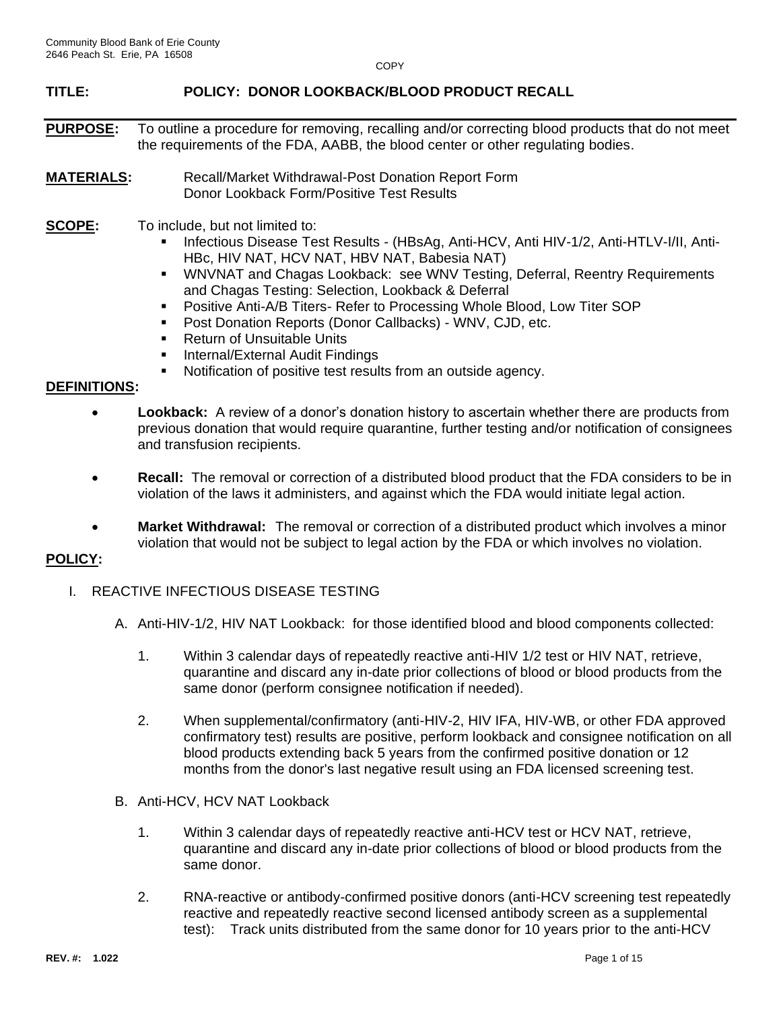### **TITLE: POLICY: DONOR LOOKBACK/BLOOD PRODUCT RECALL**

- **PURPOSE:** To outline a procedure for removing, recalling and/or correcting blood products that do not meet the requirements of the FDA, AABB, the blood center or other regulating bodies.
- **MATERIALS:** Recall/Market Withdrawal-Post Donation Report Form Donor Lookback Form/Positive Test Results
- **SCOPE:** To include, but not limited to:
	- Infectious Disease Test Results (HBsAg, Anti-HCV, Anti HIV-1/2, Anti-HTLV-I/II, Anti-HBc, HIV NAT, HCV NAT, HBV NAT, Babesia NAT)
	- **WNVNAT and Chagas Lookback: see WNV Testing, Deferral, Reentry Requirements** and Chagas Testing: Selection, Lookback & Deferral
	- Positive Anti-A/B Titers- Refer to Processing Whole Blood, Low Titer SOP
	- Post Donation Reports (Donor Callbacks) WNV, CJD, etc.
	- Return of Unsuitable Units
	- **E** Internal/External Audit Findings
	- Notification of positive test results from an outside agency.

### **DEFINITIONS:**

- **Lookback:** A review of a donor's donation history to ascertain whether there are products from previous donation that would require quarantine, further testing and/or notification of consignees and transfusion recipients.
- **Recall:** The removal or correction of a distributed blood product that the FDA considers to be in violation of the laws it administers, and against which the FDA would initiate legal action.
- **Market Withdrawal:** The removal or correction of a distributed product which involves a minor violation that would not be subject to legal action by the FDA or which involves no violation.

### **POLICY:**

- I. REACTIVE INFECTIOUS DISEASE TESTING
	- A. Anti-HIV-1/2, HIV NAT Lookback: for those identified blood and blood components collected:
		- 1. Within 3 calendar days of repeatedly reactive anti-HIV 1/2 test or HIV NAT, retrieve, quarantine and discard any in-date prior collections of blood or blood products from the same donor (perform consignee notification if needed).
		- 2. When supplemental/confirmatory (anti-HIV-2, HIV IFA, HIV-WB, or other FDA approved confirmatory test) results are positive, perform lookback and consignee notification on all blood products extending back 5 years from the confirmed positive donation or 12 months from the donor's last negative result using an FDA licensed screening test.
	- B. Anti-HCV, HCV NAT Lookback
		- 1. Within 3 calendar days of repeatedly reactive anti-HCV test or HCV NAT, retrieve, quarantine and discard any in-date prior collections of blood or blood products from the same donor.
		- 2. RNA-reactive or antibody-confirmed positive donors (anti-HCV screening test repeatedly reactive and repeatedly reactive second licensed antibody screen as a supplemental test): Track units distributed from the same donor for 10 years prior to the anti-HCV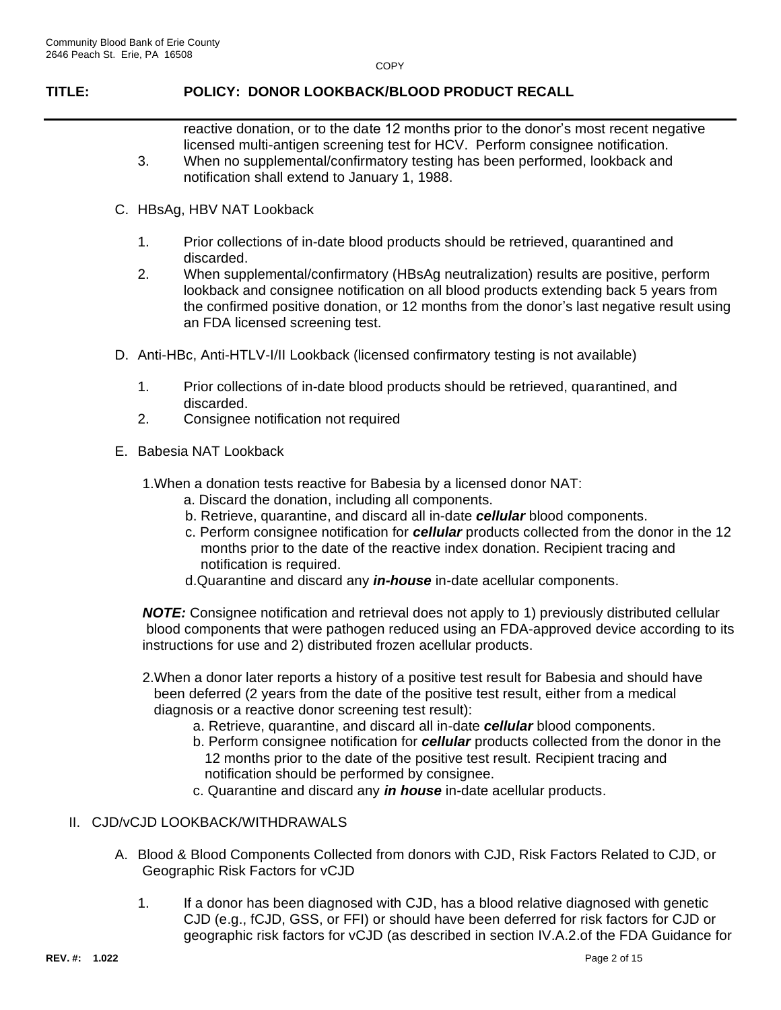## **TITLE: POLICY: DONOR LOOKBACK/BLOOD PRODUCT RECALL**

reactive donation, or to the date 12 months prior to the donor's most recent negative licensed multi-antigen screening test for HCV. Perform consignee notification.

- 3. When no supplemental/confirmatory testing has been performed, lookback and notification shall extend to January 1, 1988.
- C. HBsAg, HBV NAT Lookback
	- 1. Prior collections of in-date blood products should be retrieved, quarantined and discarded.
	- 2. When supplemental/confirmatory (HBsAg neutralization) results are positive, perform lookback and consignee notification on all blood products extending back 5 years from the confirmed positive donation, or 12 months from the donor's last negative result using an FDA licensed screening test.
- D. Anti-HBc, Anti-HTLV-I/II Lookback (licensed confirmatory testing is not available)
	- 1. Prior collections of in-date blood products should be retrieved, quarantined, and discarded.
	- 2. Consignee notification not required
- E. Babesia NAT Lookback
	- 1.When a donation tests reactive for Babesia by a licensed donor NAT:
		- a. Discard the donation, including all components.
		- b. Retrieve, quarantine, and discard all in-date *cellular* blood components.
		- c. Perform consignee notification for *cellular* products collected from the donor in the 12 months prior to the date of the reactive index donation. Recipient tracing and notification is required.
		- d.Quarantine and discard any *in-house* in-date acellular components.

*NOTE:* Consignee notification and retrieval does not apply to 1) previously distributed cellular blood components that were pathogen reduced using an FDA-approved device according to its instructions for use and 2) distributed frozen acellular products.

- 2.When a donor later reports a history of a positive test result for Babesia and should have been deferred (2 years from the date of the positive test result, either from a medical diagnosis or a reactive donor screening test result):
	- a. Retrieve, quarantine, and discard all in-date *cellular* blood components.
	- b. Perform consignee notification for *cellular* products collected from the donor in the 12 months prior to the date of the positive test result. Recipient tracing and notification should be performed by consignee.
	- c. Quarantine and discard any *in house* in-date acellular products.

### II. CJD/vCJD LOOKBACK/WITHDRAWALS

- A. Blood & Blood Components Collected from donors with CJD, Risk Factors Related to CJD, or Geographic Risk Factors for vCJD
	- 1. If a donor has been diagnosed with CJD, has a blood relative diagnosed with genetic CJD (e.g., fCJD, GSS, or FFI) or should have been deferred for risk factors for CJD or geographic risk factors for vCJD (as described in section IV.A.2.of the FDA Guidance for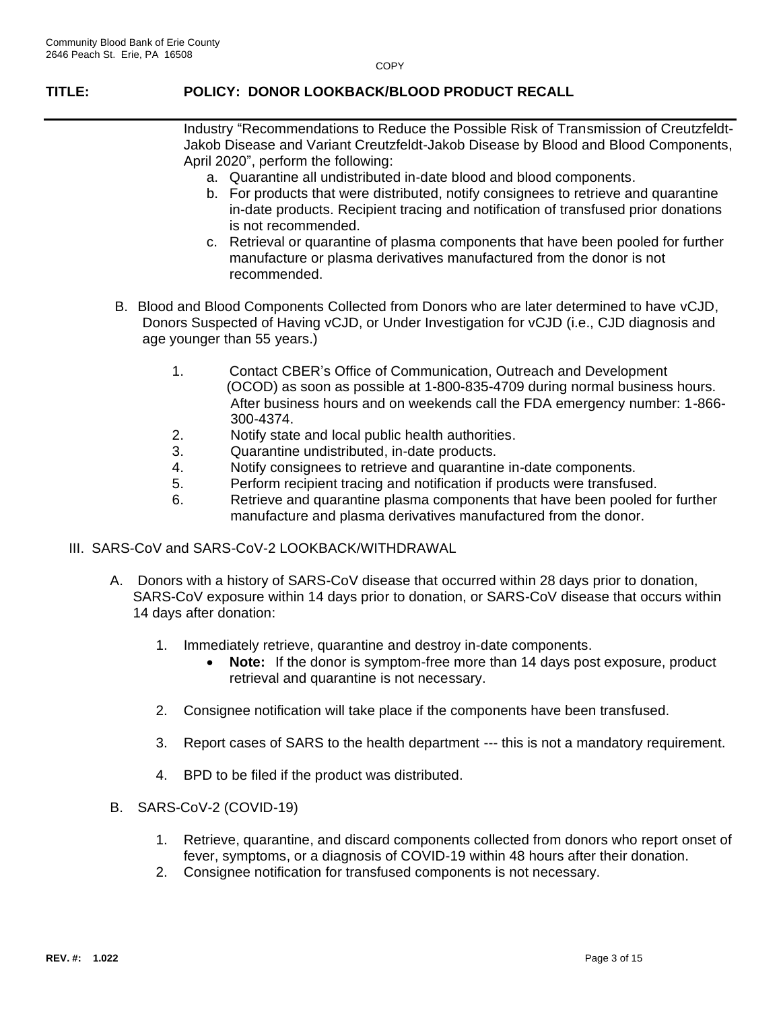## **TITLE: POLICY: DONOR LOOKBACK/BLOOD PRODUCT RECALL**

Industry "Recommendations to Reduce the Possible Risk of Transmission of Creutzfeldt-Jakob Disease and Variant Creutzfeldt-Jakob Disease by Blood and Blood Components, April 2020", perform the following:

- a. Quarantine all undistributed in-date blood and blood components.
- b. For products that were distributed, notify consignees to retrieve and quarantine in-date products. Recipient tracing and notification of transfused prior donations is not recommended.
- c. Retrieval or quarantine of plasma components that have been pooled for further manufacture or plasma derivatives manufactured from the donor is not recommended.
- B. Blood and Blood Components Collected from Donors who are later determined to have vCJD, Donors Suspected of Having vCJD, or Under Investigation for vCJD (i.e., CJD diagnosis and age younger than 55 years.)
	- 1. Contact CBER's Office of Communication, Outreach and Development (OCOD) as soon as possible at 1-800-835-4709 during normal business hours. After business hours and on weekends call the FDA emergency number: 1-866- 300-4374.
	- 2. Notify state and local public health authorities.
	- 3. Quarantine undistributed, in-date products.
	- 4. Notify consignees to retrieve and quarantine in-date components.
	- 5. Perform recipient tracing and notification if products were transfused.
	- 6. Retrieve and quarantine plasma components that have been pooled for further manufacture and plasma derivatives manufactured from the donor.
- III. SARS-CoV and SARS-CoV-2 LOOKBACK/WITHDRAWAL
	- A. Donors with a history of SARS-CoV disease that occurred within 28 days prior to donation, SARS-CoV exposure within 14 days prior to donation, or SARS-CoV disease that occurs within 14 days after donation:
		- 1. Immediately retrieve, quarantine and destroy in-date components.
			- **Note:** If the donor is symptom-free more than 14 days post exposure, product retrieval and quarantine is not necessary.
		- 2. Consignee notification will take place if the components have been transfused.
		- 3. Report cases of SARS to the health department --- this is not a mandatory requirement.
		- 4. BPD to be filed if the product was distributed.
	- B. SARS-CoV-2 (COVID-19)
		- 1. Retrieve, quarantine, and discard components collected from donors who report onset of fever, symptoms, or a diagnosis of COVID-19 within 48 hours after their donation.
		- 2. Consignee notification for transfused components is not necessary.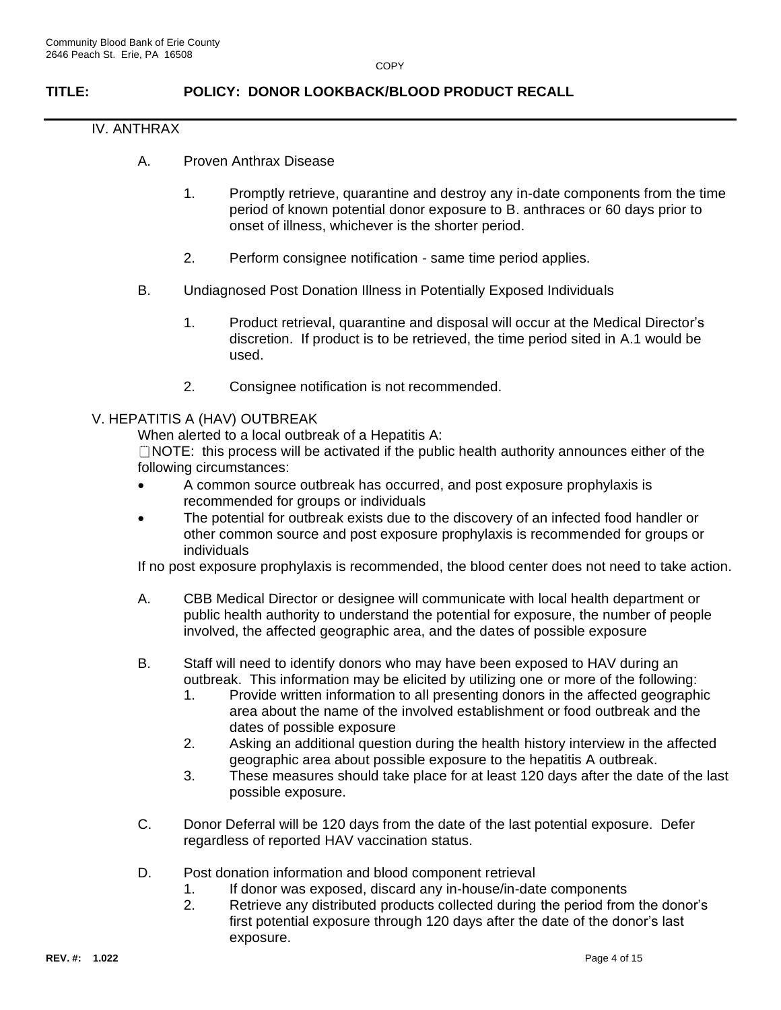## **TITLE: POLICY: DONOR LOOKBACK/BLOOD PRODUCT RECALL**

### IV. ANTHRAX

- A. Proven Anthrax Disease
	- 1. Promptly retrieve, quarantine and destroy any in-date components from the time period of known potential donor exposure to B. anthraces or 60 days prior to onset of illness, whichever is the shorter period.
	- 2. Perform consignee notification same time period applies.
- B. Undiagnosed Post Donation Illness in Potentially Exposed Individuals
	- 1. Product retrieval, quarantine and disposal will occur at the Medical Director's discretion. If product is to be retrieved, the time period sited in A.1 would be used.
	- 2. Consignee notification is not recommended.

### V. HEPATITIS A (HAV) OUTBREAK

When alerted to a local outbreak of a Hepatitis A:

 $\Box$  NOTE: this process will be activated if the public health authority announces either of the following circumstances:

- A common source outbreak has occurred, and post exposure prophylaxis is recommended for groups or individuals
- The potential for outbreak exists due to the discovery of an infected food handler or other common source and post exposure prophylaxis is recommended for groups or individuals

If no post exposure prophylaxis is recommended, the blood center does not need to take action.

- A. CBB Medical Director or designee will communicate with local health department or public health authority to understand the potential for exposure, the number of people involved, the affected geographic area, and the dates of possible exposure
- B. Staff will need to identify donors who may have been exposed to HAV during an outbreak. This information may be elicited by utilizing one or more of the following:
	- 1. Provide written information to all presenting donors in the affected geographic area about the name of the involved establishment or food outbreak and the dates of possible exposure
	- 2. Asking an additional question during the health history interview in the affected geographic area about possible exposure to the hepatitis A outbreak.
	- 3. These measures should take place for at least 120 days after the date of the last possible exposure.
- C. Donor Deferral will be 120 days from the date of the last potential exposure. Defer regardless of reported HAV vaccination status.
- D. Post donation information and blood component retrieval
	- 1. If donor was exposed, discard any in-house/in-date components
	- 2. Retrieve any distributed products collected during the period from the donor's first potential exposure through 120 days after the date of the donor's last exposure.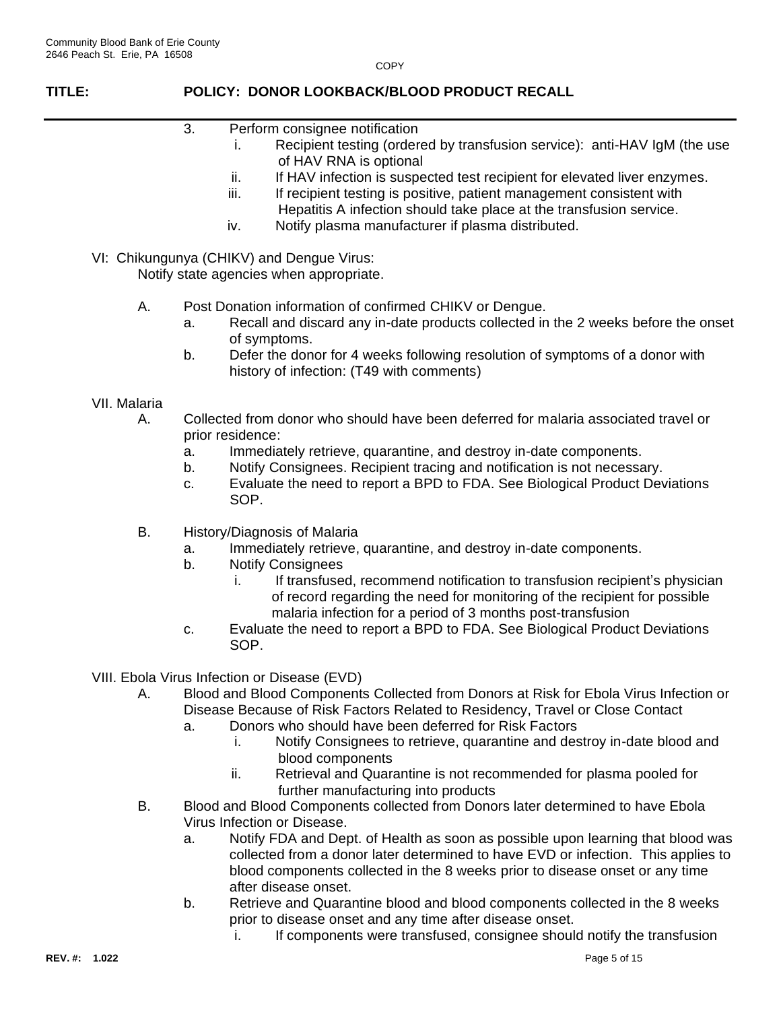## **TITLE: POLICY: DONOR LOOKBACK/BLOOD PRODUCT RECALL**

- 3. Perform consignee notification
	- i. Recipient testing (ordered by transfusion service): anti-HAV IgM (the use of HAV RNA is optional
		- ii. If HAV infection is suspected test recipient for elevated liver enzymes.
	- iii. If recipient testing is positive, patient management consistent with Hepatitis A infection should take place at the transfusion service.
	- iv. Notify plasma manufacturer if plasma distributed.
- VI: Chikungunya (CHIKV) and Dengue Virus:

Notify state agencies when appropriate.

- A. Post Donation information of confirmed CHIKV or Dengue.
	- a. Recall and discard any in-date products collected in the 2 weeks before the onset of symptoms.
	- b. Defer the donor for 4 weeks following resolution of symptoms of a donor with history of infection: (T49 with comments)

### VII. Malaria

- A. Collected from donor who should have been deferred for malaria associated travel or prior residence:
	- a. Immediately retrieve, quarantine, and destroy in-date components.
	- b. Notify Consignees. Recipient tracing and notification is not necessary.
	- c. Evaluate the need to report a BPD to FDA. See Biological Product Deviations SOP.
- B. History/Diagnosis of Malaria
	- a. Immediately retrieve, quarantine, and destroy in-date components.
	- b. Notify Consignees
		- i. If transfused, recommend notification to transfusion recipient's physician of record regarding the need for monitoring of the recipient for possible malaria infection for a period of 3 months post-transfusion
	- c. Evaluate the need to report a BPD to FDA. See Biological Product Deviations SOP.
- VIII. Ebola Virus Infection or Disease (EVD)
	- A. Blood and Blood Components Collected from Donors at Risk for Ebola Virus Infection or Disease Because of Risk Factors Related to Residency, Travel or Close Contact
		- a. Donors who should have been deferred for Risk Factors
			- i. Notify Consignees to retrieve, quarantine and destroy in-date blood and blood components
			- ii. Retrieval and Quarantine is not recommended for plasma pooled for further manufacturing into products
	- B. Blood and Blood Components collected from Donors later determined to have Ebola Virus Infection or Disease.
		- a. Notify FDA and Dept. of Health as soon as possible upon learning that blood was collected from a donor later determined to have EVD or infection. This applies to blood components collected in the 8 weeks prior to disease onset or any time after disease onset.
		- b. Retrieve and Quarantine blood and blood components collected in the 8 weeks prior to disease onset and any time after disease onset.
			- i. If components were transfused, consignee should notify the transfusion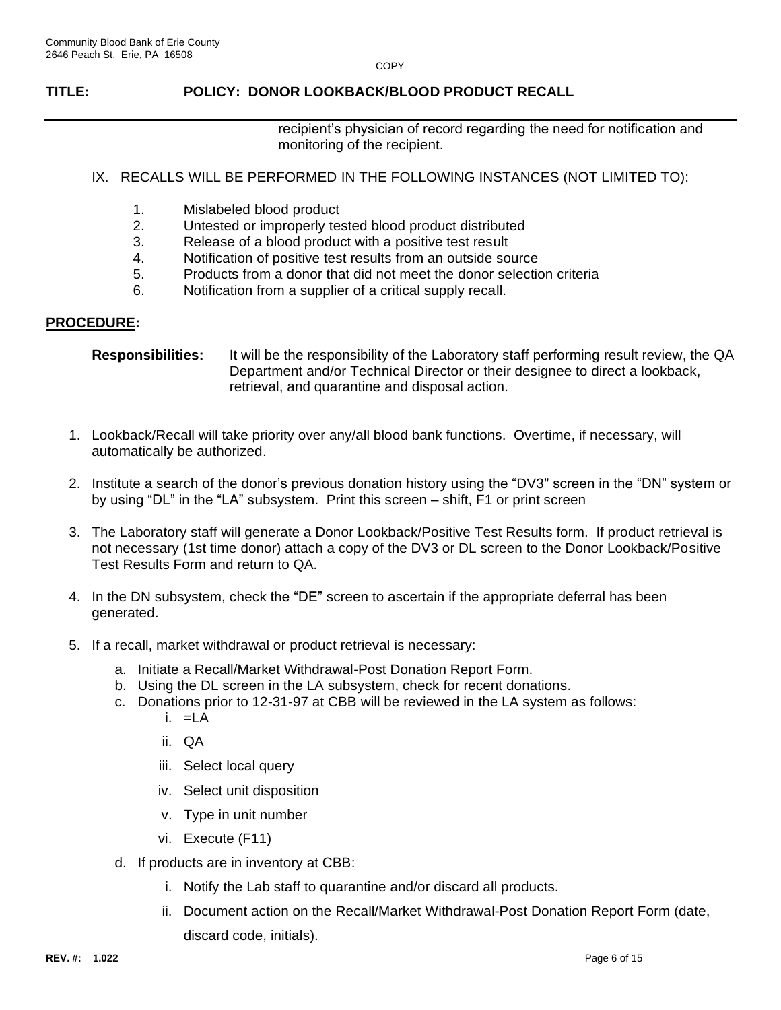### **TITLE: POLICY: DONOR LOOKBACK/BLOOD PRODUCT RECALL**

recipient's physician of record regarding the need for notification and monitoring of the recipient.

### IX. RECALLS WILL BE PERFORMED IN THE FOLLOWING INSTANCES (NOT LIMITED TO):

- 1. Mislabeled blood product
- 2. Untested or improperly tested blood product distributed
- 3. Release of a blood product with a positive test result
- 4. Notification of positive test results from an outside source
- 5. Products from a donor that did not meet the donor selection criteria
- 6. Notification from a supplier of a critical supply recall.

### **PROCEDURE:**

```
Responsibilities: It will be the responsibility of the Laboratory staff performing result review, the QA 
          Department and/or Technical Director or their designee to direct a lookback, 
          retrieval, and quarantine and disposal action.
```
- 1. Lookback/Recall will take priority over any/all blood bank functions. Overtime, if necessary, will automatically be authorized.
- 2. Institute a search of the donor's previous donation history using the "DV3" screen in the "DN" system or by using "DL" in the "LA" subsystem. Print this screen – shift, F1 or print screen
- 3. The Laboratory staff will generate a Donor Lookback/Positive Test Results form. If product retrieval is not necessary (1st time donor) attach a copy of the DV3 or DL screen to the Donor Lookback/Positive Test Results Form and return to QA.
- 4. In the DN subsystem, check the "DE" screen to ascertain if the appropriate deferral has been generated.
- 5. If a recall, market withdrawal or product retrieval is necessary:
	- a. Initiate a Recall/Market Withdrawal-Post Donation Report Form.
	- b. Using the DL screen in the LA subsystem, check for recent donations.
	- c. Donations prior to 12-31-97 at CBB will be reviewed in the LA system as follows:
		- $i. = LA$
		- ii. QA
		- iii. Select local query
		- iv. Select unit disposition
		- v. Type in unit number
		- vi. Execute (F11)
	- d. If products are in inventory at CBB:
		- i. Notify the Lab staff to quarantine and/or discard all products.
		- ii. Document action on the Recall/Market Withdrawal-Post Donation Report Form (date, discard code, initials).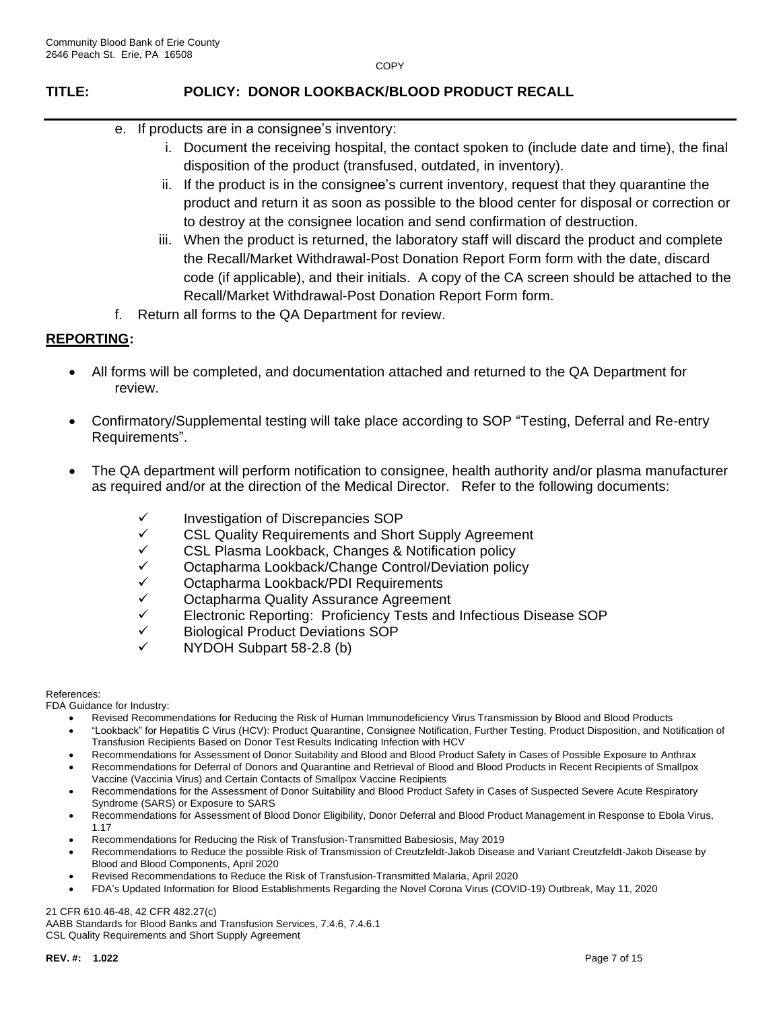## **TITLE: POLICY: DONOR LOOKBACK/BLOOD PRODUCT RECALL**

- e. If products are in a consignee's inventory:
	- i. Document the receiving hospital, the contact spoken to (include date and time), the final disposition of the product (transfused, outdated, in inventory).
	- ii. If the product is in the consignee's current inventory, request that they quarantine the product and return it as soon as possible to the blood center for disposal or correction or to destroy at the consignee location and send confirmation of destruction.
	- iii. When the product is returned, the laboratory staff will discard the product and complete the Recall/Market Withdrawal-Post Donation Report Form form with the date, discard code (if applicable), and their initials. A copy of the CA screen should be attached to the Recall/Market Withdrawal-Post Donation Report Form form.
- f. Return all forms to the QA Department for review.

### **REPORTING:**

- All forms will be completed, and documentation attached and returned to the QA Department for review.
- Confirmatory/Supplemental testing will take place according to SOP "Testing, Deferral and Re-entry Requirements".
- The QA department will perform notification to consignee, health authority and/or plasma manufacturer as required and/or at the direction of the Medical Director. Refer to the following documents:
	- ✓ Investigation of Discrepancies SOP
	- ✓ CSL Quality Requirements and Short Supply Agreement
	- CSL Plasma Lookback, Changes & Notification policy
	- ✓ Octapharma Lookback/Change Control/Deviation policy
	- ✓ Octapharma Lookback/PDI Requirements
	- Octapharma Quality Assurance Agreement
	- ✓ Electronic Reporting: Proficiency Tests and Infectious Disease SOP
	- ✓ Biological Product Deviations SOP
	- ✓ NYDOH Subpart 58-2.8 (b)

### References:

FDA Guidance for Industry:

- Revised Recommendations for Reducing the Risk of Human Immunodeficiency Virus Transmission by Blood and Blood Products
- "Lookback" for Hepatitis C Virus (HCV): Product Quarantine, Consignee Notification, Further Testing, Product Disposition, and Notification of Transfusion Recipients Based on Donor Test Results Indicating Infection with HCV
- Recommendations for Assessment of Donor Suitability and Blood and Blood Product Safety in Cases of Possible Exposure to Anthrax
- Recommendations for Deferral of Donors and Quarantine and Retrieval of Blood and Blood Products in Recent Recipients of Smallpox Vaccine (Vaccinia Virus) and Certain Contacts of Smallpox Vaccine Recipients
- Recommendations for the Assessment of Donor Suitability and Blood Product Safety in Cases of Suspected Severe Acute Respiratory Syndrome (SARS) or Exposure to SARS
- Recommendations for Assessment of Blood Donor Eligibility, Donor Deferral and Blood Product Management in Response to Ebola Virus, 1.17
- Recommendations for Reducing the Risk of Transfusion-Transmitted Babesiosis, May 2019
- Recommendations to Reduce the possible Risk of Transmission of Creutzfeldt-Jakob Disease and Variant Creutzfeldt-Jakob Disease by Blood and Blood Components, April 2020
- Revised Recommendations to Reduce the Risk of Transfusion-Transmitted Malaria, April 2020
- FDA's Updated Information for Blood Establishments Regarding the Novel Corona Virus (COVID-19) Outbreak, May 11, 2020

21 CFR 610.46-48, 42 CFR 482.27(c)

AABB Standards for Blood Banks and Transfusion Services, 7.4.6, 7.4.6.1 CSL Quality Requirements and Short Supply Agreement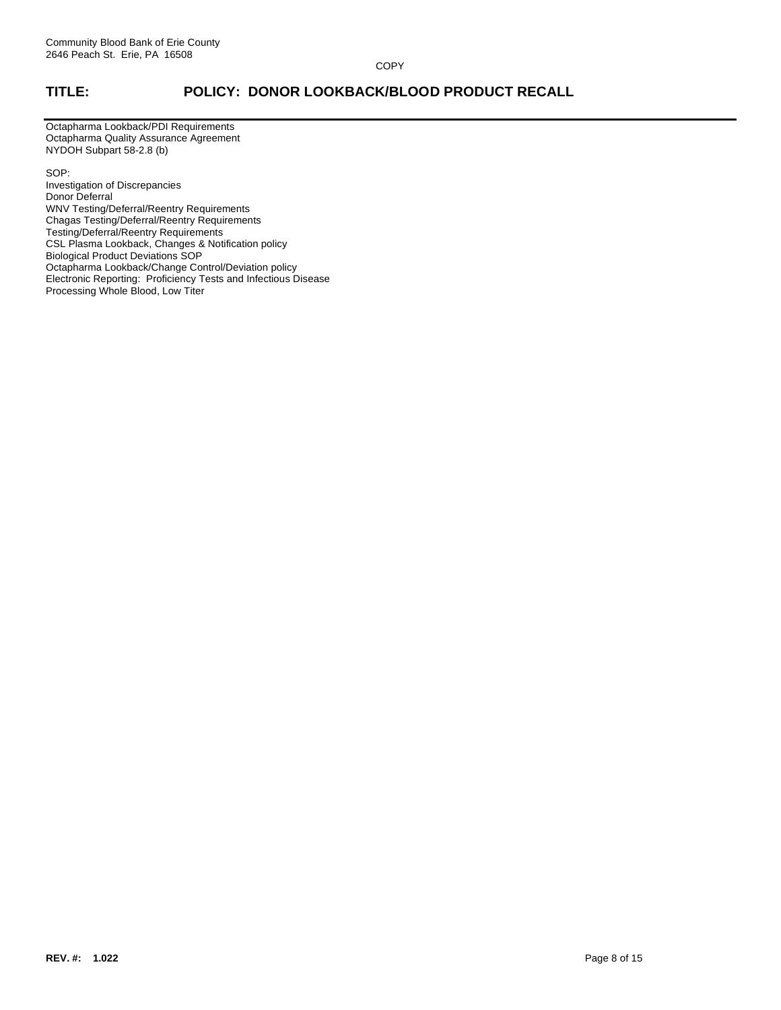## **TITLE: POLICY: DONOR LOOKBACK/BLOOD PRODUCT RECALL**

Octapharma Lookback/PDI Requirements Octapharma Quality Assurance Agreement NYDOH Subpart 58-2.8 (b)

SOP:

Investigation of Discrepancies Donor Deferral WNV Testing/Deferral/Reentry Requirements Chagas Testing/Deferral/Reentry Requirements Testing/Deferral/Reentry Requirements CSL Plasma Lookback, Changes & Notification policy Biological Product Deviations SOP Octapharma Lookback/Change Control/Deviation policy Electronic Reporting: Proficiency Tests and Infectious Disease Processing Whole Blood, Low Titer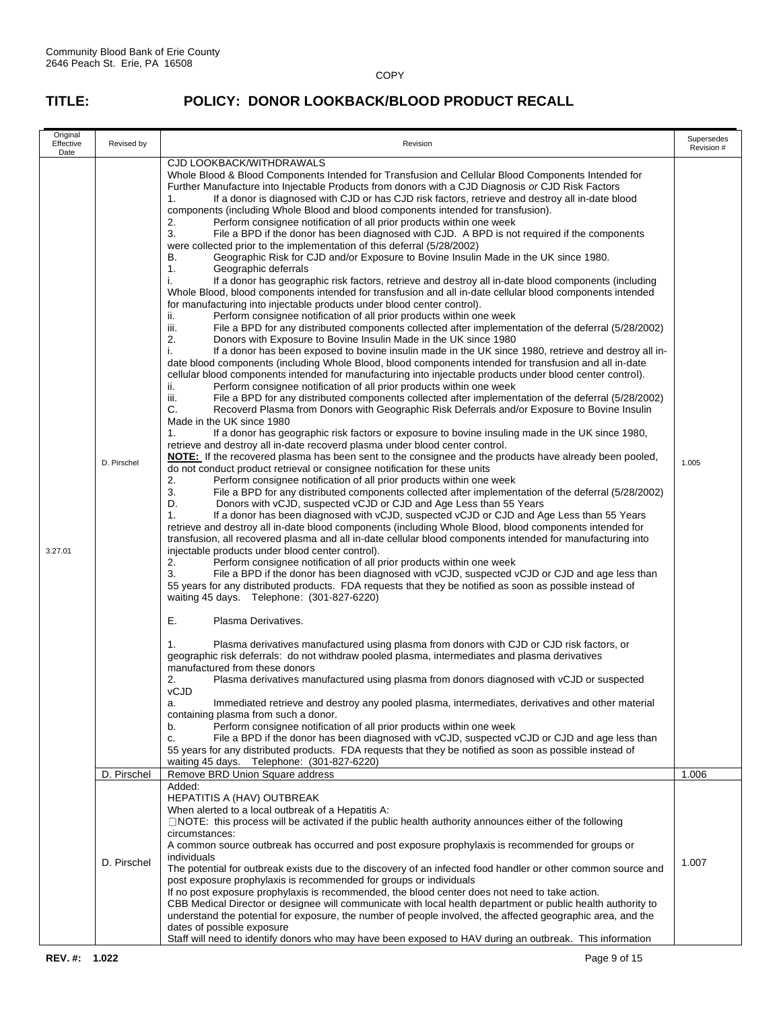| Original<br>Effective<br>Date | Revised by  | Revision                                                                                                                                                                                                                                                                                                                                                                                                                                                                                                                                                                                                                                                                                                                                                                                                                                                                                                                                                                                                                                                                                                                                                                                                                                                                                                                                                                                                                                                                                                                                                                                                                                                                                                                                                                                                                                                                                                                                                                                                                                                                                                                                                                                                                                                                                                                                                                                                                                                                                                                                                                                                                                                                                                                                                                                                                                                                                                                                                                                                                                                                                                                                                                                                                                                                                                                                                                                                                                                                                                                                                                                                                                                                                                                                                                                                                                                                                                                                                                                                                                                                                                                                                                                                                                                                                                                                                          | Supersedes<br>Revision # |
|-------------------------------|-------------|-------------------------------------------------------------------------------------------------------------------------------------------------------------------------------------------------------------------------------------------------------------------------------------------------------------------------------------------------------------------------------------------------------------------------------------------------------------------------------------------------------------------------------------------------------------------------------------------------------------------------------------------------------------------------------------------------------------------------------------------------------------------------------------------------------------------------------------------------------------------------------------------------------------------------------------------------------------------------------------------------------------------------------------------------------------------------------------------------------------------------------------------------------------------------------------------------------------------------------------------------------------------------------------------------------------------------------------------------------------------------------------------------------------------------------------------------------------------------------------------------------------------------------------------------------------------------------------------------------------------------------------------------------------------------------------------------------------------------------------------------------------------------------------------------------------------------------------------------------------------------------------------------------------------------------------------------------------------------------------------------------------------------------------------------------------------------------------------------------------------------------------------------------------------------------------------------------------------------------------------------------------------------------------------------------------------------------------------------------------------------------------------------------------------------------------------------------------------------------------------------------------------------------------------------------------------------------------------------------------------------------------------------------------------------------------------------------------------------------------------------------------------------------------------------------------------------------------------------------------------------------------------------------------------------------------------------------------------------------------------------------------------------------------------------------------------------------------------------------------------------------------------------------------------------------------------------------------------------------------------------------------------------------------------------------------------------------------------------------------------------------------------------------------------------------------------------------------------------------------------------------------------------------------------------------------------------------------------------------------------------------------------------------------------------------------------------------------------------------------------------------------------------------------------------------------------------------------------------------------------------------------------------------------------------------------------------------------------------------------------------------------------------------------------------------------------------------------------------------------------------------------------------------------------------------------------------------------------------------------------------------------------------------------------------------------------------------------------------------------------|--------------------------|
| 3.27.01                       | D. Pirschel | CJD LOOKBACK/WITHDRAWALS<br>Whole Blood & Blood Components Intended for Transfusion and Cellular Blood Components Intended for<br>Further Manufacture into Injectable Products from donors with a CJD Diagnosis or CJD Risk Factors<br>If a donor is diagnosed with CJD or has CJD risk factors, retrieve and destroy all in-date blood<br>1.<br>components (including Whole Blood and blood components intended for transfusion).<br>2.<br>Perform consignee notification of all prior products within one week<br>3.<br>File a BPD if the donor has been diagnosed with CJD. A BPD is not required if the components<br>were collected prior to the implementation of this deferral (5/28/2002)<br>Geographic Risk for CJD and/or Exposure to Bovine Insulin Made in the UK since 1980.<br>В.<br>1.<br>Geographic deferrals<br>i.<br>If a donor has geographic risk factors, retrieve and destroy all in-date blood components (including<br>Whole Blood, blood components intended for transfusion and all in-date cellular blood components intended<br>for manufacturing into injectable products under blood center control).<br>Perform consignee notification of all prior products within one week<br>ii.<br>iii.<br>File a BPD for any distributed components collected after implementation of the deferral (5/28/2002)<br>2.<br>Donors with Exposure to Bovine Insulin Made in the UK since 1980<br>i.<br>If a donor has been exposed to bovine insulin made in the UK since 1980, retrieve and destroy all in-<br>date blood components (including Whole Blood, blood components intended for transfusion and all in-date<br>cellular blood components intended for manufacturing into injectable products under blood center control).<br>Perform consignee notification of all prior products within one week<br>ii.<br>iii.<br>File a BPD for any distributed components collected after implementation of the deferral (5/28/2002)<br>C.<br>Recoverd Plasma from Donors with Geographic Risk Deferrals and/or Exposure to Bovine Insulin<br>Made in the UK since 1980<br>If a donor has geographic risk factors or exposure to bovine insuling made in the UK since 1980,<br>1.<br>retrieve and destroy all in-date recoverd plasma under blood center control.<br>NOTE: If the recovered plasma has been sent to the consignee and the products have already been pooled,<br>do not conduct product retrieval or consignee notification for these units<br>2.<br>Perform consignee notification of all prior products within one week<br>3.<br>File a BPD for any distributed components collected after implementation of the deferral (5/28/2002)<br>D.<br>Donors with vCJD, suspected vCJD or CJD and Age Less than 55 Years<br>If a donor has been diagnosed with vCJD, suspected vCJD or CJD and Age Less than 55 Years<br>1.<br>retrieve and destroy all in-date blood components (including Whole Blood, blood components intended for<br>transfusion, all recovered plasma and all in-date cellular blood components intended for manufacturing into<br>injectable products under blood center control).<br>2.<br>Perform consignee notification of all prior products within one week<br>File a BPD if the donor has been diagnosed with vCJD, suspected vCJD or CJD and age less than<br>3.<br>55 years for any distributed products. FDA requests that they be notified as soon as possible instead of<br>waiting 45 days. Telephone: (301-827-6220)<br>Е.<br>Plasma Derivatives.<br>Plasma derivatives manufactured using plasma from donors with CJD or CJD risk factors, or<br>1.<br>geographic risk deferrals: do not withdraw pooled plasma, intermediates and plasma derivatives<br>manufactured from these donors<br>2.<br>Plasma derivatives manufactured using plasma from donors diagnosed with vCJD or suspected<br>vCJD<br>a.<br>Immediated retrieve and destroy any pooled plasma, intermediates, derivatives and other material<br>containing plasma from such a donor.<br>Perform consignee notification of all prior products within one week<br>b.<br>File a BPD if the donor has been diagnosed with vCJD, suspected vCJD or CJD and age less than<br>C.<br>55 years for any distributed products. FDA requests that they be notified as soon as possible instead of<br>waiting 45 days. Telephone: (301-827-6220) | 1.005                    |
|                               | D. Pirschel | Remove BRD Union Square address                                                                                                                                                                                                                                                                                                                                                                                                                                                                                                                                                                                                                                                                                                                                                                                                                                                                                                                                                                                                                                                                                                                                                                                                                                                                                                                                                                                                                                                                                                                                                                                                                                                                                                                                                                                                                                                                                                                                                                                                                                                                                                                                                                                                                                                                                                                                                                                                                                                                                                                                                                                                                                                                                                                                                                                                                                                                                                                                                                                                                                                                                                                                                                                                                                                                                                                                                                                                                                                                                                                                                                                                                                                                                                                                                                                                                                                                                                                                                                                                                                                                                                                                                                                                                                                                                                                                   | 1.006                    |
|                               | D. Pirschel | Added:<br><b>HEPATITIS A (HAV) OUTBREAK</b><br>When alerted to a local outbreak of a Hepatitis A:<br>$\Box$ NOTE: this process will be activated if the public health authority announces either of the following<br>circumstances:<br>A common source outbreak has occurred and post exposure prophylaxis is recommended for groups or<br>individuals<br>The potential for outbreak exists due to the discovery of an infected food handler or other common source and<br>post exposure prophylaxis is recommended for groups or individuals<br>If no post exposure prophylaxis is recommended, the blood center does not need to take action.<br>CBB Medical Director or designee will communicate with local health department or public health authority to<br>understand the potential for exposure, the number of people involved, the affected geographic area, and the<br>dates of possible exposure                                                                                                                                                                                                                                                                                                                                                                                                                                                                                                                                                                                                                                                                                                                                                                                                                                                                                                                                                                                                                                                                                                                                                                                                                                                                                                                                                                                                                                                                                                                                                                                                                                                                                                                                                                                                                                                                                                                                                                                                                                                                                                                                                                                                                                                                                                                                                                                                                                                                                                                                                                                                                                                                                                                                                                                                                                                                                                                                                                                                                                                                                                                                                                                                                                                                                                                                                                                                                                                      | 1.007                    |
|                               |             | Staff will need to identify donors who may have been exposed to HAV during an outbreak. This information                                                                                                                                                                                                                                                                                                                                                                                                                                                                                                                                                                                                                                                                                                                                                                                                                                                                                                                                                                                                                                                                                                                                                                                                                                                                                                                                                                                                                                                                                                                                                                                                                                                                                                                                                                                                                                                                                                                                                                                                                                                                                                                                                                                                                                                                                                                                                                                                                                                                                                                                                                                                                                                                                                                                                                                                                                                                                                                                                                                                                                                                                                                                                                                                                                                                                                                                                                                                                                                                                                                                                                                                                                                                                                                                                                                                                                                                                                                                                                                                                                                                                                                                                                                                                                                          |                          |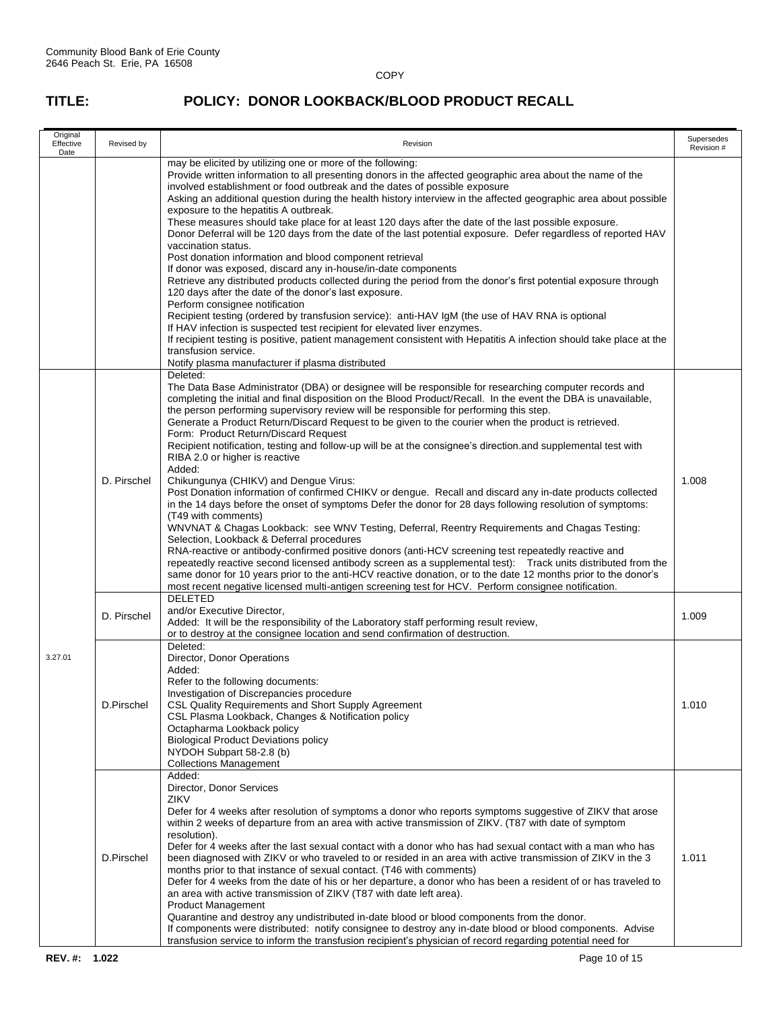| Original<br>Effective<br>Date | Revised by  | Revision                                                                                                                                                                                                                                                                                                                                                                                                                                                                                                                                                                                                                                                                                                                                                                                                                                                                                                                                                                                                                                                                                                                                                                                                                                                                                                                                                                                                                                                                                                                            | Supersedes<br>Revision # |
|-------------------------------|-------------|-------------------------------------------------------------------------------------------------------------------------------------------------------------------------------------------------------------------------------------------------------------------------------------------------------------------------------------------------------------------------------------------------------------------------------------------------------------------------------------------------------------------------------------------------------------------------------------------------------------------------------------------------------------------------------------------------------------------------------------------------------------------------------------------------------------------------------------------------------------------------------------------------------------------------------------------------------------------------------------------------------------------------------------------------------------------------------------------------------------------------------------------------------------------------------------------------------------------------------------------------------------------------------------------------------------------------------------------------------------------------------------------------------------------------------------------------------------------------------------------------------------------------------------|--------------------------|
|                               |             | may be elicited by utilizing one or more of the following:<br>Provide written information to all presenting donors in the affected geographic area about the name of the<br>involved establishment or food outbreak and the dates of possible exposure<br>Asking an additional question during the health history interview in the affected geographic area about possible<br>exposure to the hepatitis A outbreak.<br>These measures should take place for at least 120 days after the date of the last possible exposure.<br>Donor Deferral will be 120 days from the date of the last potential exposure. Defer regardless of reported HAV<br>vaccination status.<br>Post donation information and blood component retrieval<br>If donor was exposed, discard any in-house/in-date components<br>Retrieve any distributed products collected during the period from the donor's first potential exposure through<br>120 days after the date of the donor's last exposure.<br>Perform consignee notification<br>Recipient testing (ordered by transfusion service): anti-HAV IgM (the use of HAV RNA is optional<br>If HAV infection is suspected test recipient for elevated liver enzymes.<br>If recipient testing is positive, patient management consistent with Hepatitis A infection should take place at the<br>transfusion service.<br>Notify plasma manufacturer if plasma distributed                                                                                                                                   |                          |
|                               | D. Pirschel | Deleted:<br>The Data Base Administrator (DBA) or designee will be responsible for researching computer records and<br>completing the initial and final disposition on the Blood Product/Recall. In the event the DBA is unavailable,<br>the person performing supervisory review will be responsible for performing this step.<br>Generate a Product Return/Discard Request to be given to the courier when the product is retrieved.<br>Form: Product Return/Discard Request<br>Recipient notification, testing and follow-up will be at the consignee's direction and supplemental test with<br>RIBA 2.0 or higher is reactive<br>Added:<br>Chikungunya (CHIKV) and Dengue Virus:<br>Post Donation information of confirmed CHIKV or dengue. Recall and discard any in-date products collected<br>in the 14 days before the onset of symptoms Defer the donor for 28 days following resolution of symptoms:<br>(T49 with comments)<br>WNVNAT & Chagas Lookback: see WNV Testing, Deferral, Reentry Requirements and Chagas Testing:<br>Selection, Lookback & Deferral procedures<br>RNA-reactive or antibody-confirmed positive donors (anti-HCV screening test repeatedly reactive and<br>repeatedly reactive second licensed antibody screen as a supplemental test): Track units distributed from the<br>same donor for 10 years prior to the anti-HCV reactive donation, or to the date 12 months prior to the donor's<br>most recent negative licensed multi-antigen screening test for HCV. Perform consignee notification. | 1.008                    |
| 3.27.01                       | D. Pirschel | <b>DELETED</b><br>and/or Executive Director,<br>Added: It will be the responsibility of the Laboratory staff performing result review,<br>or to destroy at the consignee location and send confirmation of destruction.                                                                                                                                                                                                                                                                                                                                                                                                                                                                                                                                                                                                                                                                                                                                                                                                                                                                                                                                                                                                                                                                                                                                                                                                                                                                                                             | 1.009                    |
|                               | D.Pirschel  | Deleted:<br>Director, Donor Operations<br>Added:<br>Refer to the following documents:<br>Investigation of Discrepancies procedure<br>CSL Quality Requirements and Short Supply Agreement<br>CSL Plasma Lookback, Changes & Notification policy<br>Octapharma Lookback policy<br><b>Biological Product Deviations policy</b><br>NYDOH Subpart 58-2.8 (b)<br><b>Collections Management</b>                                                                                                                                                                                                                                                                                                                                                                                                                                                                                                                                                                                                                                                                                                                                                                                                                                                                                                                                                                                                                                                                                                                                            | 1.010                    |
|                               | D.Pirschel  | Added:<br>Director, Donor Services<br><b>ZIKV</b><br>Defer for 4 weeks after resolution of symptoms a donor who reports symptoms suggestive of ZIKV that arose<br>within 2 weeks of departure from an area with active transmission of ZIKV. (T87 with date of symptom<br>resolution).<br>Defer for 4 weeks after the last sexual contact with a donor who has had sexual contact with a man who has<br>been diagnosed with ZIKV or who traveled to or resided in an area with active transmission of ZIKV in the 3<br>months prior to that instance of sexual contact. (T46 with comments)<br>Defer for 4 weeks from the date of his or her departure, a donor who has been a resident of or has traveled to<br>an area with active transmission of ZIKV (T87 with date left area).<br><b>Product Management</b><br>Quarantine and destroy any undistributed in-date blood or blood components from the donor.<br>If components were distributed: notify consignee to destroy any in-date blood or blood components. Advise<br>transfusion service to inform the transfusion recipient's physician of record regarding potential need for                                                                                                                                                                                                                                                                                                                                                                                          | 1.011                    |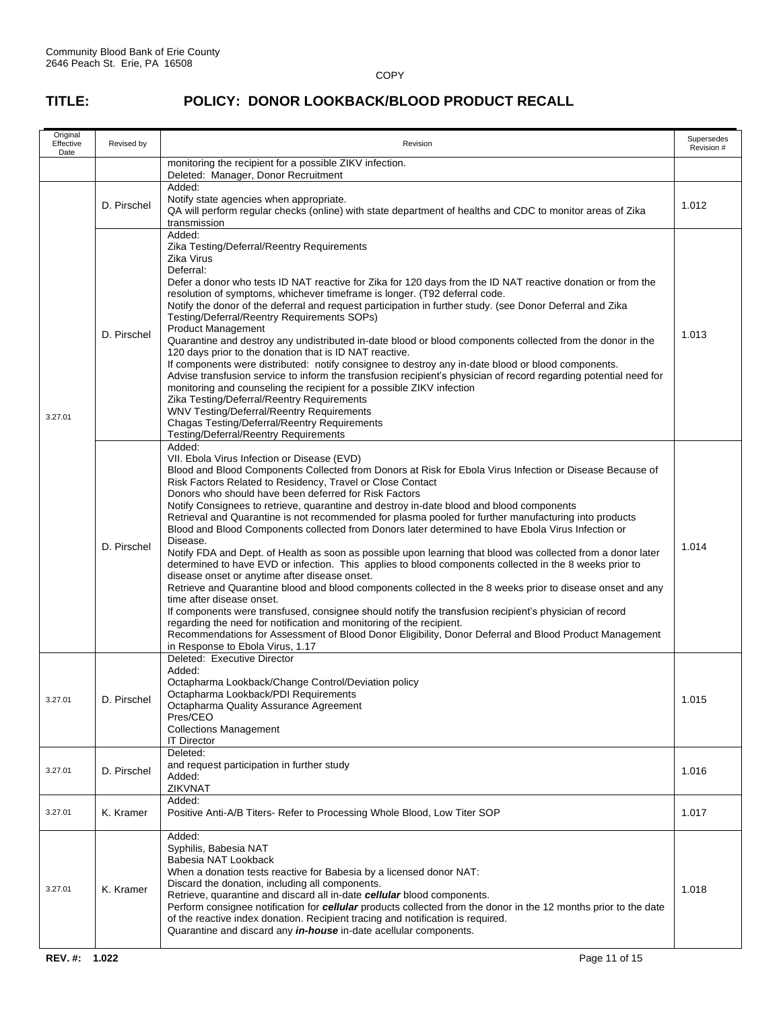| Original<br>Effective<br>Date | Revised by                                                                                                                                                                                                                                                                                                                                                                                                                                                                                                                                                   | Revision                                                                                                                                                                                                                                                                                                                                                                                                                                                                                                                                                                                                                                                                                                                                                                                                                                                                                                                                                                                                                                                                                                                                                                                                                                                                                                                                                               | Supersedes<br>Revision # |
|-------------------------------|--------------------------------------------------------------------------------------------------------------------------------------------------------------------------------------------------------------------------------------------------------------------------------------------------------------------------------------------------------------------------------------------------------------------------------------------------------------------------------------------------------------------------------------------------------------|------------------------------------------------------------------------------------------------------------------------------------------------------------------------------------------------------------------------------------------------------------------------------------------------------------------------------------------------------------------------------------------------------------------------------------------------------------------------------------------------------------------------------------------------------------------------------------------------------------------------------------------------------------------------------------------------------------------------------------------------------------------------------------------------------------------------------------------------------------------------------------------------------------------------------------------------------------------------------------------------------------------------------------------------------------------------------------------------------------------------------------------------------------------------------------------------------------------------------------------------------------------------------------------------------------------------------------------------------------------------|--------------------------|
|                               |                                                                                                                                                                                                                                                                                                                                                                                                                                                                                                                                                              | monitoring the recipient for a possible ZIKV infection.<br>Deleted: Manager, Donor Recruitment                                                                                                                                                                                                                                                                                                                                                                                                                                                                                                                                                                                                                                                                                                                                                                                                                                                                                                                                                                                                                                                                                                                                                                                                                                                                         |                          |
|                               | D. Pirschel                                                                                                                                                                                                                                                                                                                                                                                                                                                                                                                                                  | Added:<br>Notify state agencies when appropriate.<br>QA will perform regular checks (online) with state department of healths and CDC to monitor areas of Zika<br>transmission                                                                                                                                                                                                                                                                                                                                                                                                                                                                                                                                                                                                                                                                                                                                                                                                                                                                                                                                                                                                                                                                                                                                                                                         | 1.012                    |
| 3.27.01                       | D. Pirschel                                                                                                                                                                                                                                                                                                                                                                                                                                                                                                                                                  | Added:<br>Zika Testing/Deferral/Reentry Requirements<br>Zika Virus<br>Deferral:<br>Defer a donor who tests ID NAT reactive for Zika for 120 days from the ID NAT reactive donation or from the<br>resolution of symptoms, whichever timeframe is longer. (T92 deferral code.<br>Notify the donor of the deferral and request participation in further study. (see Donor Deferral and Zika<br>Testing/Deferral/Reentry Requirements SOPs)<br><b>Product Management</b><br>Quarantine and destroy any undistributed in-date blood or blood components collected from the donor in the<br>120 days prior to the donation that is ID NAT reactive.<br>If components were distributed: notify consignee to destroy any in-date blood or blood components.<br>Advise transfusion service to inform the transfusion recipient's physician of record regarding potential need for<br>monitoring and counseling the recipient for a possible ZIKV infection<br>Zika Testing/Deferral/Reentry Requirements<br>WNV Testing/Deferral/Reentry Requirements<br><b>Chagas Testing/Deferral/Reentry Requirements</b><br><b>Testing/Deferral/Reentry Requirements</b>                                                                                                                                                                                                                   | 1.013                    |
|                               | D. Pirschel                                                                                                                                                                                                                                                                                                                                                                                                                                                                                                                                                  | Added:<br>VII. Ebola Virus Infection or Disease (EVD)<br>Blood and Blood Components Collected from Donors at Risk for Ebola Virus Infection or Disease Because of<br>Risk Factors Related to Residency, Travel or Close Contact<br>Donors who should have been deferred for Risk Factors<br>Notify Consignees to retrieve, quarantine and destroy in-date blood and blood components<br>Retrieval and Quarantine is not recommended for plasma pooled for further manufacturing into products<br>Blood and Blood Components collected from Donors later determined to have Ebola Virus Infection or<br>Disease.<br>Notify FDA and Dept. of Health as soon as possible upon learning that blood was collected from a donor later<br>determined to have EVD or infection. This applies to blood components collected in the 8 weeks prior to<br>disease onset or anytime after disease onset.<br>Retrieve and Quarantine blood and blood components collected in the 8 weeks prior to disease onset and any<br>time after disease onset.<br>If components were transfused, consignee should notify the transfusion recipient's physician of record<br>regarding the need for notification and monitoring of the recipient.<br>Recommendations for Assessment of Blood Donor Eligibility, Donor Deferral and Blood Product Management<br>in Response to Ebola Virus, 1.17 | 1.014                    |
| 3.27.01                       | D. Pirschel                                                                                                                                                                                                                                                                                                                                                                                                                                                                                                                                                  | Deleted: Executive Director<br>Added:<br>Octapharma Lookback/Change Control/Deviation policy<br>Octapharma Lookback/PDI Requirements<br>Octapharma Quality Assurance Agreement<br>Pres/CEO<br><b>Collections Management</b><br><b>IT Director</b>                                                                                                                                                                                                                                                                                                                                                                                                                                                                                                                                                                                                                                                                                                                                                                                                                                                                                                                                                                                                                                                                                                                      |                          |
| 3.27.01                       | D. Pirschel                                                                                                                                                                                                                                                                                                                                                                                                                                                                                                                                                  | Deleted:<br>and request participation in further study<br>Added:<br>ZIKVNAT                                                                                                                                                                                                                                                                                                                                                                                                                                                                                                                                                                                                                                                                                                                                                                                                                                                                                                                                                                                                                                                                                                                                                                                                                                                                                            |                          |
| 3.27.01                       | K. Kramer                                                                                                                                                                                                                                                                                                                                                                                                                                                                                                                                                    | Added:<br>Positive Anti-A/B Titers- Refer to Processing Whole Blood, Low Titer SOP                                                                                                                                                                                                                                                                                                                                                                                                                                                                                                                                                                                                                                                                                                                                                                                                                                                                                                                                                                                                                                                                                                                                                                                                                                                                                     | 1.017                    |
| 3.27.01                       | Added:<br>Syphilis, Babesia NAT<br>Babesia NAT Lookback<br>When a donation tests reactive for Babesia by a licensed donor NAT:<br>Discard the donation, including all components.<br>K. Kramer<br>Retrieve, quarantine and discard all in-date cellular blood components.<br>Perform consignee notification for cellular products collected from the donor in the 12 months prior to the date<br>of the reactive index donation. Recipient tracing and notification is required.<br>Quarantine and discard any <i>in-house</i> in-date acellular components. |                                                                                                                                                                                                                                                                                                                                                                                                                                                                                                                                                                                                                                                                                                                                                                                                                                                                                                                                                                                                                                                                                                                                                                                                                                                                                                                                                                        | 1.018                    |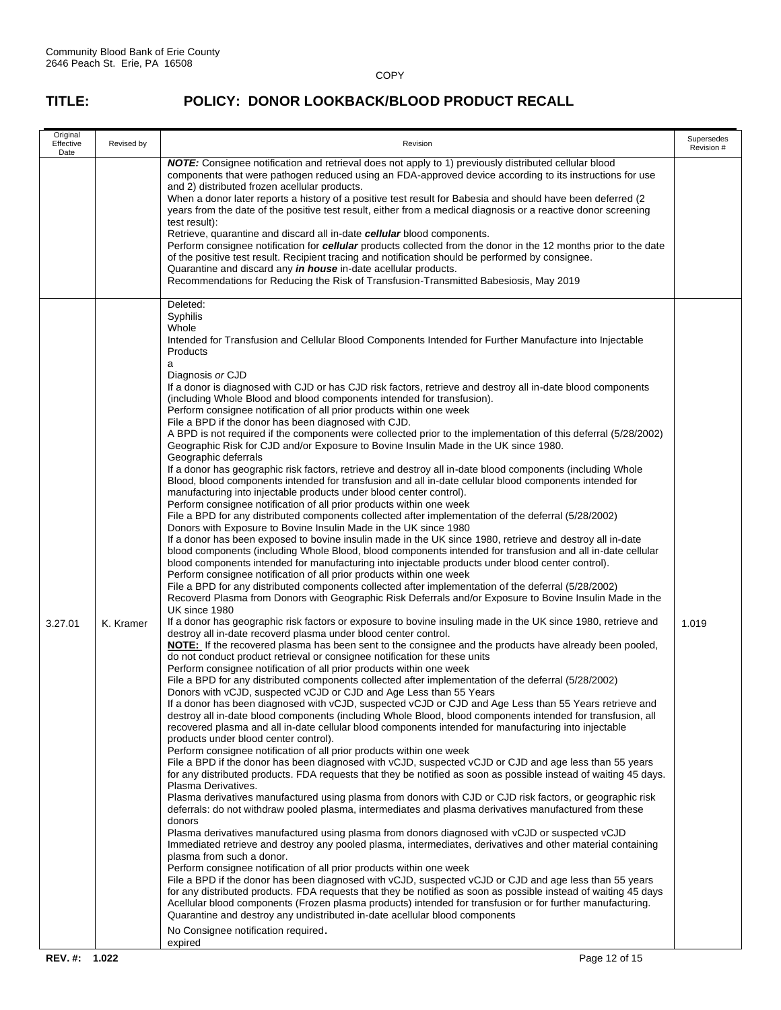| Original<br>Effective<br>Date | Revised by | Revision                                                                                                                                                                                                                                                                                                                                                                                                                                                                                                                                                                                                                                                                                                                                                                                                                                                                                                                                                                                                                                                                                                                                                                                                                                                                                                                                                                                                                                                                                                                                                                                                                                                                                                                                                                                                                                                                                                                                                                                                                                                                                                                                                                                                                                                                                                                                                                                                                                                                                                                                                                                                                                                                                                                                                                                                                                                                                                                                                                                                                                                                                                                                                                                                                                                                                                                                                                                                                                                                                                                                                                                                                                                                                                                                                                                                                                                                                                                                                                                                                                                                                                                                                                                                                                                                                                                         | Supersedes<br>Revision # |
|-------------------------------|------------|----------------------------------------------------------------------------------------------------------------------------------------------------------------------------------------------------------------------------------------------------------------------------------------------------------------------------------------------------------------------------------------------------------------------------------------------------------------------------------------------------------------------------------------------------------------------------------------------------------------------------------------------------------------------------------------------------------------------------------------------------------------------------------------------------------------------------------------------------------------------------------------------------------------------------------------------------------------------------------------------------------------------------------------------------------------------------------------------------------------------------------------------------------------------------------------------------------------------------------------------------------------------------------------------------------------------------------------------------------------------------------------------------------------------------------------------------------------------------------------------------------------------------------------------------------------------------------------------------------------------------------------------------------------------------------------------------------------------------------------------------------------------------------------------------------------------------------------------------------------------------------------------------------------------------------------------------------------------------------------------------------------------------------------------------------------------------------------------------------------------------------------------------------------------------------------------------------------------------------------------------------------------------------------------------------------------------------------------------------------------------------------------------------------------------------------------------------------------------------------------------------------------------------------------------------------------------------------------------------------------------------------------------------------------------------------------------------------------------------------------------------------------------------------------------------------------------------------------------------------------------------------------------------------------------------------------------------------------------------------------------------------------------------------------------------------------------------------------------------------------------------------------------------------------------------------------------------------------------------------------------------------------------------------------------------------------------------------------------------------------------------------------------------------------------------------------------------------------------------------------------------------------------------------------------------------------------------------------------------------------------------------------------------------------------------------------------------------------------------------------------------------------------------------------------------------------------------------------------------------------------------------------------------------------------------------------------------------------------------------------------------------------------------------------------------------------------------------------------------------------------------------------------------------------------------------------------------------------------------------------------------------------------------------------------------------------------------|--------------------------|
|                               |            | <b>NOTE:</b> Consignee notification and retrieval does not apply to 1) previously distributed cellular blood<br>components that were pathogen reduced using an FDA-approved device according to its instructions for use<br>and 2) distributed frozen acellular products.<br>When a donor later reports a history of a positive test result for Babesia and should have been deferred (2<br>years from the date of the positive test result, either from a medical diagnosis or a reactive donor screening<br>test result):<br>Retrieve, quarantine and discard all in-date cellular blood components.<br>Perform consignee notification for cellular products collected from the donor in the 12 months prior to the date<br>of the positive test result. Recipient tracing and notification should be performed by consignee.<br>Quarantine and discard any in house in-date acellular products.<br>Recommendations for Reducing the Risk of Transfusion-Transmitted Babesiosis, May 2019                                                                                                                                                                                                                                                                                                                                                                                                                                                                                                                                                                                                                                                                                                                                                                                                                                                                                                                                                                                                                                                                                                                                                                                                                                                                                                                                                                                                                                                                                                                                                                                                                                                                                                                                                                                                                                                                                                                                                                                                                                                                                                                                                                                                                                                                                                                                                                                                                                                                                                                                                                                                                                                                                                                                                                                                                                                                                                                                                                                                                                                                                                                                                                                                                                                                                                                                      |                          |
| 3.27.01                       | K. Kramer  | Deleted:<br>Syphilis<br>Whole<br>Intended for Transfusion and Cellular Blood Components Intended for Further Manufacture into Injectable<br>Products<br>a<br>Diagnosis or CJD<br>If a donor is diagnosed with CJD or has CJD risk factors, retrieve and destroy all in-date blood components<br>(including Whole Blood and blood components intended for transfusion).<br>Perform consignee notification of all prior products within one week<br>File a BPD if the donor has been diagnosed with CJD.<br>A BPD is not required if the components were collected prior to the implementation of this deferral (5/28/2002)<br>Geographic Risk for CJD and/or Exposure to Bovine Insulin Made in the UK since 1980.<br>Geographic deferrals<br>If a donor has geographic risk factors, retrieve and destroy all in-date blood components (including Whole<br>Blood, blood components intended for transfusion and all in-date cellular blood components intended for<br>manufacturing into injectable products under blood center control).<br>Perform consignee notification of all prior products within one week<br>File a BPD for any distributed components collected after implementation of the deferral (5/28/2002)<br>Donors with Exposure to Bovine Insulin Made in the UK since 1980<br>If a donor has been exposed to bovine insulin made in the UK since 1980, retrieve and destroy all in-date<br>blood components (including Whole Blood, blood components intended for transfusion and all in-date cellular<br>blood components intended for manufacturing into injectable products under blood center control).<br>Perform consignee notification of all prior products within one week<br>File a BPD for any distributed components collected after implementation of the deferral (5/28/2002)<br>Recoverd Plasma from Donors with Geographic Risk Deferrals and/or Exposure to Bovine Insulin Made in the<br>UK since 1980<br>If a donor has geographic risk factors or exposure to bovine insuling made in the UK since 1980, retrieve and<br>destroy all in-date recoverd plasma under blood center control.<br><b>NOTE:</b> If the recovered plasma has been sent to the consignee and the products have already been pooled,<br>do not conduct product retrieval or consignee notification for these units<br>Perform consignee notification of all prior products within one week<br>File a BPD for any distributed components collected after implementation of the deferral (5/28/2002)<br>Donors with vCJD, suspected vCJD or CJD and Age Less than 55 Years<br>If a donor has been diagnosed with vCJD, suspected vCJD or CJD and Age Less than 55 Years retrieve and<br>destroy all in-date blood components (including Whole Blood, blood components intended for transfusion, all<br>recovered plasma and all in-date cellular blood components intended for manufacturing into injectable<br>products under blood center control).<br>Perform consignee notification of all prior products within one week<br>File a BPD if the donor has been diagnosed with vCJD, suspected vCJD or CJD and age less than 55 years<br>for any distributed products. FDA requests that they be notified as soon as possible instead of waiting 45 days.<br>Plasma Derivatives.<br>Plasma derivatives manufactured using plasma from donors with CJD or CJD risk factors, or geographic risk<br>deferrals: do not withdraw pooled plasma, intermediates and plasma derivatives manufactured from these<br>donors<br>Plasma derivatives manufactured using plasma from donors diagnosed with vCJD or suspected vCJD<br>Immediated retrieve and destroy any pooled plasma, intermediates, derivatives and other material containing<br>plasma from such a donor.<br>Perform consignee notification of all prior products within one week<br>File a BPD if the donor has been diagnosed with vCJD, suspected vCJD or CJD and age less than 55 years<br>for any distributed products. FDA requests that they be notified as soon as possible instead of waiting 45 days<br>Acellular blood components (Frozen plasma products) intended for transfusion or for further manufacturing.<br>Quarantine and destroy any undistributed in-date acellular blood components<br>No Consignee notification required.<br>expired | 1.019                    |
| REV. #: 1.022                 |            | Page 12 of 15                                                                                                                                                                                                                                                                                                                                                                                                                                                                                                                                                                                                                                                                                                                                                                                                                                                                                                                                                                                                                                                                                                                                                                                                                                                                                                                                                                                                                                                                                                                                                                                                                                                                                                                                                                                                                                                                                                                                                                                                                                                                                                                                                                                                                                                                                                                                                                                                                                                                                                                                                                                                                                                                                                                                                                                                                                                                                                                                                                                                                                                                                                                                                                                                                                                                                                                                                                                                                                                                                                                                                                                                                                                                                                                                                                                                                                                                                                                                                                                                                                                                                                                                                                                                                                                                                                                    |                          |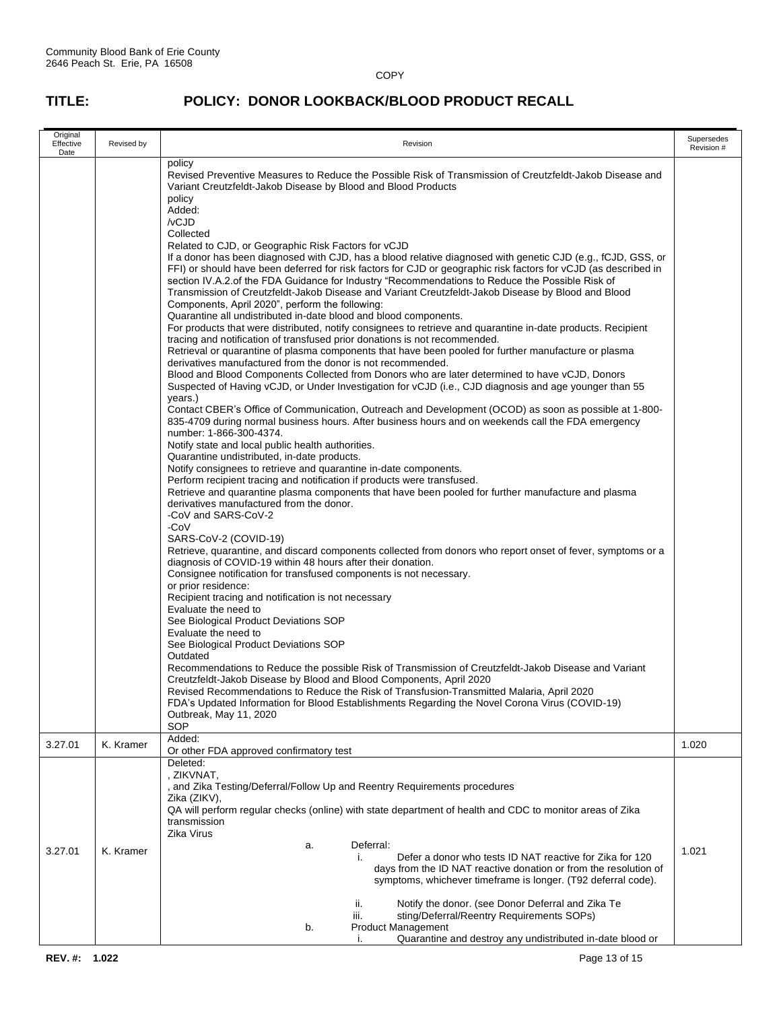| Original<br>Effective<br>Date | Revised by | Revision                                                                                                                                                                                                                                                                                                                                                                                                                                                                                                                                                                                                                                                                                                                                                                                                                                                                                                                                                                                                                                                                                                                                                                                                                                                                                                                                                                                                                                                                                                                                                                                                                                                                                                                                                                                                                                                                                                                                                                                                                                                                                                                                                                                                                                                                                                                                                                                                                                                                                                                                                                                                                                                                                                                                                                                                                                                                                                                                                                                                                                                                                                                                                                                                                                                                                                                                                                                                                                                             |       |  |  |
|-------------------------------|------------|----------------------------------------------------------------------------------------------------------------------------------------------------------------------------------------------------------------------------------------------------------------------------------------------------------------------------------------------------------------------------------------------------------------------------------------------------------------------------------------------------------------------------------------------------------------------------------------------------------------------------------------------------------------------------------------------------------------------------------------------------------------------------------------------------------------------------------------------------------------------------------------------------------------------------------------------------------------------------------------------------------------------------------------------------------------------------------------------------------------------------------------------------------------------------------------------------------------------------------------------------------------------------------------------------------------------------------------------------------------------------------------------------------------------------------------------------------------------------------------------------------------------------------------------------------------------------------------------------------------------------------------------------------------------------------------------------------------------------------------------------------------------------------------------------------------------------------------------------------------------------------------------------------------------------------------------------------------------------------------------------------------------------------------------------------------------------------------------------------------------------------------------------------------------------------------------------------------------------------------------------------------------------------------------------------------------------------------------------------------------------------------------------------------------------------------------------------------------------------------------------------------------------------------------------------------------------------------------------------------------------------------------------------------------------------------------------------------------------------------------------------------------------------------------------------------------------------------------------------------------------------------------------------------------------------------------------------------------------------------------------------------------------------------------------------------------------------------------------------------------------------------------------------------------------------------------------------------------------------------------------------------------------------------------------------------------------------------------------------------------------------------------------------------------------------------------------------------------|-------|--|--|
|                               |            | policy<br>Revised Preventive Measures to Reduce the Possible Risk of Transmission of Creutzfeldt-Jakob Disease and<br>Variant Creutzfeldt-Jakob Disease by Blood and Blood Products<br>policy<br>Added:<br>/vCJD<br>Collected<br>Related to CJD, or Geographic Risk Factors for vCJD<br>If a donor has been diagnosed with CJD, has a blood relative diagnosed with genetic CJD (e.g., fCJD, GSS, or<br>FFI) or should have been deferred for risk factors for CJD or geographic risk factors for vCJD (as described in<br>section IV.A.2.of the FDA Guidance for Industry "Recommendations to Reduce the Possible Risk of<br>Transmission of Creutzfeldt-Jakob Disease and Variant Creutzfeldt-Jakob Disease by Blood and Blood<br>Components, April 2020", perform the following:<br>Quarantine all undistributed in-date blood and blood components.<br>For products that were distributed, notify consignees to retrieve and quarantine in-date products. Recipient<br>tracing and notification of transfused prior donations is not recommended.<br>Retrieval or quarantine of plasma components that have been pooled for further manufacture or plasma<br>derivatives manufactured from the donor is not recommended.<br>Blood and Blood Components Collected from Donors who are later determined to have vCJD, Donors<br>Suspected of Having vCJD, or Under Investigation for vCJD (i.e., CJD diagnosis and age younger than 55<br>years.)<br>Contact CBER's Office of Communication, Outreach and Development (OCOD) as soon as possible at 1-800-<br>835-4709 during normal business hours. After business hours and on weekends call the FDA emergency<br>number: 1-866-300-4374.<br>Notify state and local public health authorities.<br>Quarantine undistributed, in-date products.<br>Notify consignees to retrieve and quarantine in-date components.<br>Perform recipient tracing and notification if products were transfused.<br>Retrieve and quarantine plasma components that have been pooled for further manufacture and plasma<br>derivatives manufactured from the donor.<br>-CoV and SARS-CoV-2<br>-CoV<br>SARS-CoV-2 (COVID-19)<br>Retrieve, quarantine, and discard components collected from donors who report onset of fever, symptoms or a<br>diagnosis of COVID-19 within 48 hours after their donation.<br>Consignee notification for transfused components is not necessary.<br>or prior residence:<br>Recipient tracing and notification is not necessary<br>Evaluate the need to<br>See Biological Product Deviations SOP<br>Evaluate the need to<br>See Biological Product Deviations SOP<br>Outdated<br>Recommendations to Reduce the possible Risk of Transmission of Creutzfeldt-Jakob Disease and Variant<br>Creutzfeldt-Jakob Disease by Blood and Blood Components, April 2020<br>Revised Recommendations to Reduce the Risk of Transfusion-Transmitted Malaria, April 2020<br>FDA's Updated Information for Blood Establishments Regarding the Novel Corona Virus (COVID-19)<br>Outbreak, May 11, 2020<br>SOP<br>Added:<br>Or other FDA approved confirmatory test<br>Deleted:<br>, ZIKVNAT,<br>, and Zika Testing/Deferral/Follow Up and Reentry Requirements procedures<br>Zika (ZIKV),<br>QA will perform regular checks (online) with state department of health and CDC to monitor areas of Zika<br>transmission<br>Zika Virus<br>Deferral:<br>a.<br>Defer a donor who tests ID NAT reactive for Zika for 120<br>j. |       |  |  |
| 3.27.01                       | K. Kramer  |                                                                                                                                                                                                                                                                                                                                                                                                                                                                                                                                                                                                                                                                                                                                                                                                                                                                                                                                                                                                                                                                                                                                                                                                                                                                                                                                                                                                                                                                                                                                                                                                                                                                                                                                                                                                                                                                                                                                                                                                                                                                                                                                                                                                                                                                                                                                                                                                                                                                                                                                                                                                                                                                                                                                                                                                                                                                                                                                                                                                                                                                                                                                                                                                                                                                                                                                                                                                                                                                      | 1.020 |  |  |
| 3.27.01                       | K. Kramer  | days from the ID NAT reactive donation or from the resolution of<br>symptoms, whichever timeframe is longer. (T92 deferral code).                                                                                                                                                                                                                                                                                                                                                                                                                                                                                                                                                                                                                                                                                                                                                                                                                                                                                                                                                                                                                                                                                                                                                                                                                                                                                                                                                                                                                                                                                                                                                                                                                                                                                                                                                                                                                                                                                                                                                                                                                                                                                                                                                                                                                                                                                                                                                                                                                                                                                                                                                                                                                                                                                                                                                                                                                                                                                                                                                                                                                                                                                                                                                                                                                                                                                                                                    | 1.021 |  |  |
|                               |            | Notify the donor. (see Donor Deferral and Zika Te<br>ii.<br>sting/Deferral/Reentry Requirements SOPs)<br>iii.<br>b.<br>Product Management<br>Quarantine and destroy any undistributed in-date blood or                                                                                                                                                                                                                                                                                                                                                                                                                                                                                                                                                                                                                                                                                                                                                                                                                                                                                                                                                                                                                                                                                                                                                                                                                                                                                                                                                                                                                                                                                                                                                                                                                                                                                                                                                                                                                                                                                                                                                                                                                                                                                                                                                                                                                                                                                                                                                                                                                                                                                                                                                                                                                                                                                                                                                                                                                                                                                                                                                                                                                                                                                                                                                                                                                                                               |       |  |  |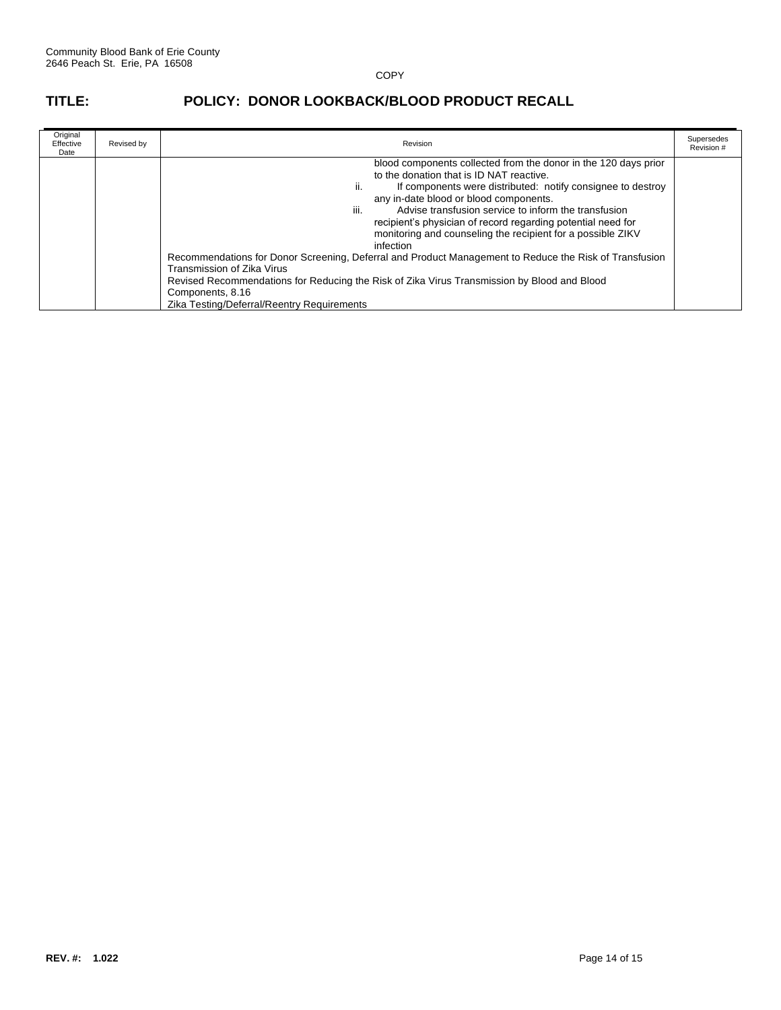| Original<br>Effective<br>Date | Revised by | Revision                                                                                                                                                                                                                                                                                                                                                                                                                                                                                                                                                                                                                                                                                                                                        |  |
|-------------------------------|------------|-------------------------------------------------------------------------------------------------------------------------------------------------------------------------------------------------------------------------------------------------------------------------------------------------------------------------------------------------------------------------------------------------------------------------------------------------------------------------------------------------------------------------------------------------------------------------------------------------------------------------------------------------------------------------------------------------------------------------------------------------|--|
|                               |            | blood components collected from the donor in the 120 days prior<br>to the donation that is ID NAT reactive.<br>If components were distributed: notify consignee to destroy<br>Ш.<br>any in-date blood or blood components.<br>Advise transfusion service to inform the transfusion<br>iii.<br>recipient's physician of record regarding potential need for<br>monitoring and counseling the recipient for a possible ZIKV<br>infection<br>Recommendations for Donor Screening, Deferral and Product Management to Reduce the Risk of Transfusion<br>Transmission of Zika Virus<br>Revised Recommendations for Reducing the Risk of Zika Virus Transmission by Blood and Blood<br>Components, 8.16<br>Zika Testing/Deferral/Reentry Requirements |  |